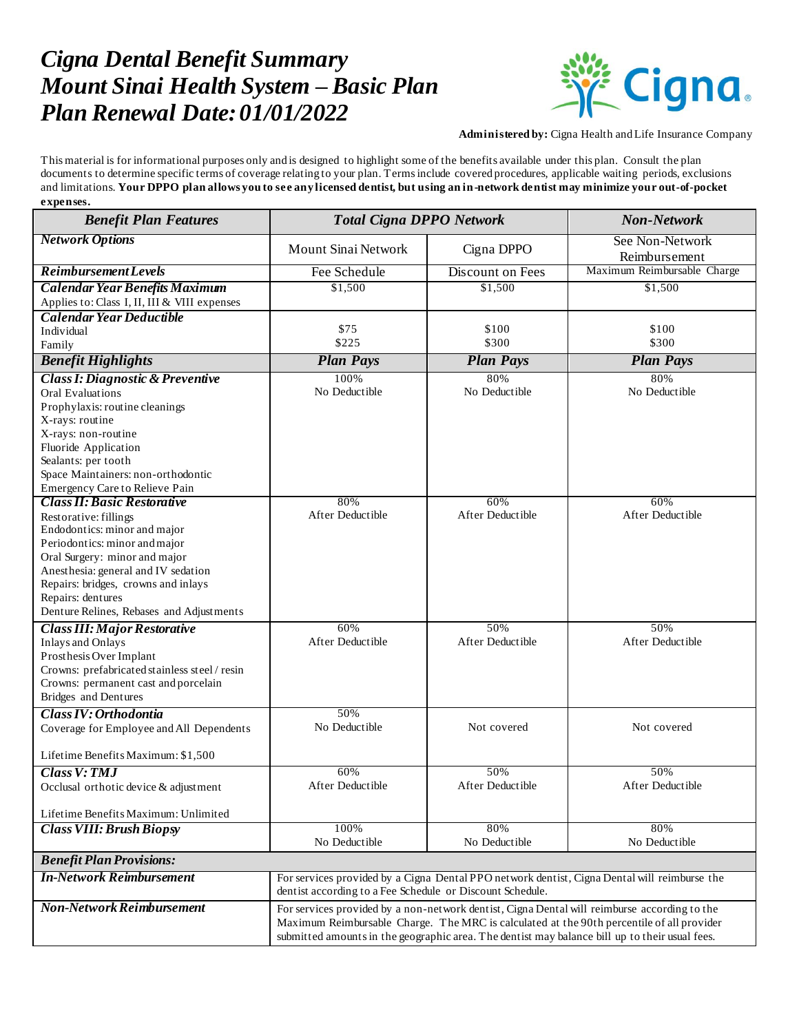## *Cigna Dental Benefit Summary Mount Sinai Health System – Basic Plan Plan Renewal Date:01/01/2022*



**Administered by:** Cigna Health and Life Insurance Company

This material is for informational purposes only and is designed to highlight some of the benefits available under this plan. Consult the plan documents to determine specific terms of coverage relating to your plan. Terms include covered procedures, applicable waiting periods, exclusions and limitations. **Your DPPO plan allows you to see any licensed dentist, but using an in-network dentist may minimize your out-of-pocket expenses.**

| <b>Benefit Plan Features</b>                                                          | <b>Total Cigna DPPO Network</b>                                                              |                         | <b>Non-Network</b>                                                                             |  |
|---------------------------------------------------------------------------------------|----------------------------------------------------------------------------------------------|-------------------------|------------------------------------------------------------------------------------------------|--|
| <b>Network Options</b>                                                                | Mount Sinai Network                                                                          | Cigna DPPO              | See Non-Network<br>Reimbursement                                                               |  |
| <b>Reimbursement Levels</b>                                                           | Fee Schedule                                                                                 | Discount on Fees        | Maximum Reimbursable Charge                                                                    |  |
| <b>Calendar Year Benefits Maximum</b><br>Applies to: Class I, II, III & VIII expenses | \$1,500                                                                                      | \$1,500                 | \$1,500                                                                                        |  |
| Calendar Year Deductible                                                              |                                                                                              |                         |                                                                                                |  |
| Individual                                                                            | \$75                                                                                         | \$100                   | \$100                                                                                          |  |
| Family                                                                                | \$225                                                                                        | \$300                   | \$300                                                                                          |  |
| <b>Benefit Highlights</b>                                                             | <b>Plan Pays</b>                                                                             | <b>Plan Pays</b>        | <b>Plan Pays</b>                                                                               |  |
| <b>Class I: Diagnostic &amp; Preventive</b>                                           | 100%                                                                                         | 80%                     | 80%                                                                                            |  |
| <b>Oral Evaluations</b>                                                               | No Deductible                                                                                | No Deductible           | No Deductible                                                                                  |  |
| Prophylaxis: routine cleanings                                                        |                                                                                              |                         |                                                                                                |  |
| X-rays: routine                                                                       |                                                                                              |                         |                                                                                                |  |
| X-rays: non-routine                                                                   |                                                                                              |                         |                                                                                                |  |
| Fluoride Application                                                                  |                                                                                              |                         |                                                                                                |  |
| Sealants: per tooth                                                                   |                                                                                              |                         |                                                                                                |  |
| Space Maintainers: non-orthodontic                                                    |                                                                                              |                         |                                                                                                |  |
| Emergency Care to Relieve Pain                                                        |                                                                                              |                         |                                                                                                |  |
| <b>Class II: Basic Restorative</b>                                                    | 80%<br>After Deductible                                                                      | 60%<br>After Deductible | 60%<br>After Deductible                                                                        |  |
| Restorative: fillings                                                                 |                                                                                              |                         |                                                                                                |  |
| Endodontics: minor and major                                                          |                                                                                              |                         |                                                                                                |  |
| Periodontics: minor and major<br>Oral Surgery: minor and major                        |                                                                                              |                         |                                                                                                |  |
| Anesthesia: general and IV sedation                                                   |                                                                                              |                         |                                                                                                |  |
| Repairs: bridges, crowns and inlays                                                   |                                                                                              |                         |                                                                                                |  |
| Repairs: dentures                                                                     |                                                                                              |                         |                                                                                                |  |
| Denture Relines, Rebases and Adjustments                                              |                                                                                              |                         |                                                                                                |  |
| <b>Class III: Major Restorative</b>                                                   | 60%                                                                                          | 50%                     | 50%                                                                                            |  |
| <b>Inlays and Onlays</b>                                                              | After Deductible                                                                             | After Deductible        | After Deductible                                                                               |  |
| Prosthesis Over Implant                                                               |                                                                                              |                         |                                                                                                |  |
| Crowns: prefabricated stainless steel / resin                                         |                                                                                              |                         |                                                                                                |  |
| Crowns: permanent cast and porcelain                                                  |                                                                                              |                         |                                                                                                |  |
| Bridges and Dentures                                                                  |                                                                                              |                         |                                                                                                |  |
| Class IV: Orthodontia                                                                 | 50%                                                                                          |                         |                                                                                                |  |
| Coverage for Employee and All Dependents                                              | No Deductible                                                                                | Not covered             | Not covered                                                                                    |  |
|                                                                                       |                                                                                              |                         |                                                                                                |  |
| Lifetime Benefits Maximum: \$1,500                                                    |                                                                                              |                         |                                                                                                |  |
| <b>Class V: TMJ</b>                                                                   | 60%                                                                                          | 50%                     | 50%                                                                                            |  |
| Occlusal orthotic device & adjustment                                                 | After Deductible                                                                             | After Deductible        | After Deductible                                                                               |  |
|                                                                                       |                                                                                              |                         |                                                                                                |  |
| Lifetime Benefits Maximum: Unlimited                                                  |                                                                                              |                         |                                                                                                |  |
| <b>Class VIII: Brush Biopsy</b>                                                       | 100%                                                                                         | 80%                     | 80%                                                                                            |  |
|                                                                                       | No Deductible                                                                                | No Deductible           | No Deductible                                                                                  |  |
| <b>Benefit Plan Provisions:</b>                                                       |                                                                                              |                         |                                                                                                |  |
| <b>In-Network Reimbursement</b>                                                       | For services provided by a Cigna Dental PPO network dentist, Cigna Dental will reimburse the |                         |                                                                                                |  |
|                                                                                       | dentist according to a Fee Schedule or Discount Schedule.                                    |                         |                                                                                                |  |
| <b>Non-Network Reimbursement</b>                                                      | For services provided by a non-network dentist, Cigna Dental will reimburse according to the |                         |                                                                                                |  |
|                                                                                       | Maximum Reimbursable Charge. The MRC is calculated at the 90th percentile of all provider    |                         |                                                                                                |  |
|                                                                                       |                                                                                              |                         | submitted amounts in the geographic area. The dentist may balance bill up to their usual fees. |  |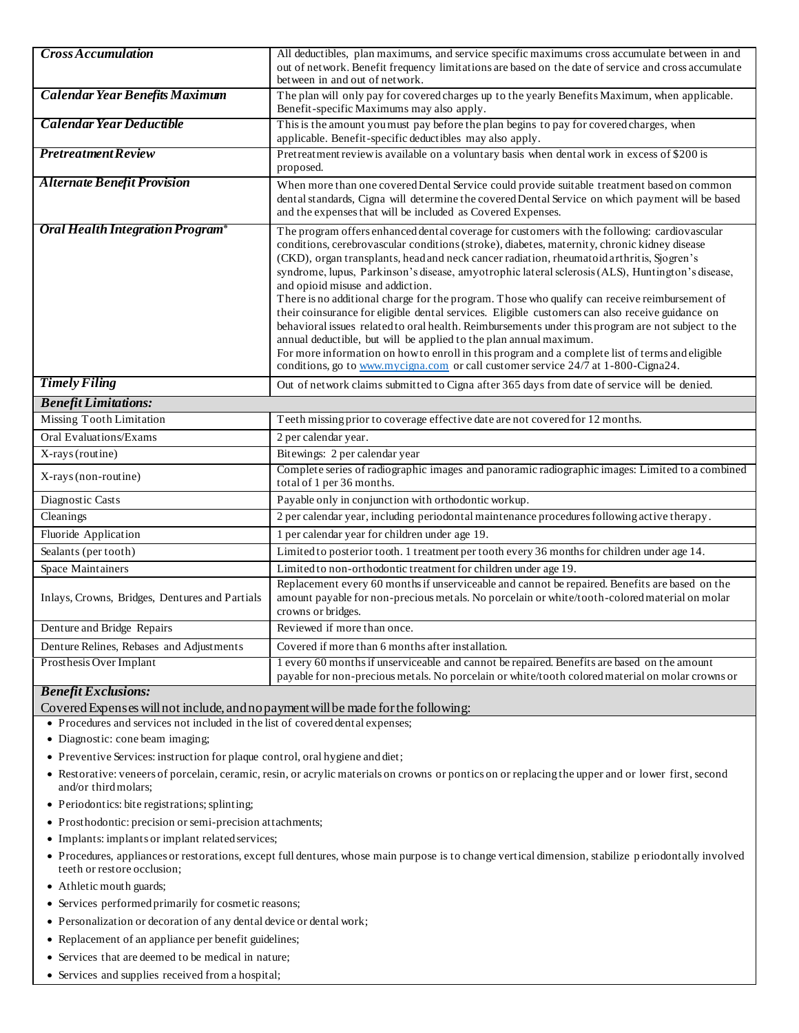| <b>Cross Accumulation</b>                      | All deductibles, plan maximums, and service specific maximums cross accumulate between in and<br>out of network. Benefit frequency limitations are based on the date of service and cross accumulate<br>between in and out of network.                                                                                                                                                                                                                                                                                                                                                                                                                                                                                                                                                                                                                                                                                                                                                                    |  |
|------------------------------------------------|-----------------------------------------------------------------------------------------------------------------------------------------------------------------------------------------------------------------------------------------------------------------------------------------------------------------------------------------------------------------------------------------------------------------------------------------------------------------------------------------------------------------------------------------------------------------------------------------------------------------------------------------------------------------------------------------------------------------------------------------------------------------------------------------------------------------------------------------------------------------------------------------------------------------------------------------------------------------------------------------------------------|--|
| Calendar Year Benefits Maximum                 | The plan will only pay for covered charges up to the yearly Benefits Maximum, when applicable.<br>Benefit-specific Maximums may also apply.                                                                                                                                                                                                                                                                                                                                                                                                                                                                                                                                                                                                                                                                                                                                                                                                                                                               |  |
| Calendar Year Deductible                       | This is the amount you must pay before the plan begins to pay for covered charges, when<br>applicable. Benefit-specific deductibles may also apply.                                                                                                                                                                                                                                                                                                                                                                                                                                                                                                                                                                                                                                                                                                                                                                                                                                                       |  |
| <b>Pretreatment Review</b>                     | Pretreatment review is available on a voluntary basis when dental work in excess of \$200 is<br>proposed.                                                                                                                                                                                                                                                                                                                                                                                                                                                                                                                                                                                                                                                                                                                                                                                                                                                                                                 |  |
| <b>Alternate Benefit Provision</b>             | When more than one covered Dental Service could provide suitable treatment based on common<br>dental standards, Cigna will determine the covered Dental Service on which payment will be based<br>and the expenses that will be included as Covered Expenses.                                                                                                                                                                                                                                                                                                                                                                                                                                                                                                                                                                                                                                                                                                                                             |  |
| Oral Health Integration Program®               | The program offers enhanced dental coverage for customers with the following: cardiovascular<br>conditions, cerebrovascular conditions (stroke), diabetes, maternity, chronic kidney disease<br>(CKD), organ transplants, head and neck cancer radiation, rheumatoid arthritis, Sjogren's<br>syndrome, lupus, Parkinson's disease, amyotrophic lateral sclerosis (ALS), Huntington's disease,<br>and opioid misuse and addiction.<br>There is no additional charge for the program. Those who qualify can receive reimbursement of<br>their coinsurance for eligible dental services. Eligible customers can also receive guidance on<br>behavioral issues related to oral health. Reimbursements under this program are not subject to the<br>annual deductible, but will be applied to the plan annual maximum.<br>For more information on how to enroll in this program and a complete list of terms and eligible<br>conditions, go to www.mycigna.com or call customer service 24/7 at 1-800-Cigna24. |  |
| <b>Timely Filing</b>                           | Out of network claims submitted to Cigna after 365 days from date of service will be denied.                                                                                                                                                                                                                                                                                                                                                                                                                                                                                                                                                                                                                                                                                                                                                                                                                                                                                                              |  |
| <b>Benefit Limitations:</b>                    |                                                                                                                                                                                                                                                                                                                                                                                                                                                                                                                                                                                                                                                                                                                                                                                                                                                                                                                                                                                                           |  |
| <b>Missing Tooth Limitation</b>                | Teeth missing prior to coverage effective date are not covered for 12 months.                                                                                                                                                                                                                                                                                                                                                                                                                                                                                                                                                                                                                                                                                                                                                                                                                                                                                                                             |  |
| <b>Oral Evaluations/Exams</b>                  | 2 per calendar year.                                                                                                                                                                                                                                                                                                                                                                                                                                                                                                                                                                                                                                                                                                                                                                                                                                                                                                                                                                                      |  |
| X-rays (routine)                               | Bitewings: 2 per calendar year                                                                                                                                                                                                                                                                                                                                                                                                                                                                                                                                                                                                                                                                                                                                                                                                                                                                                                                                                                            |  |
| X-rays (non-routine)                           | Complete series of radiographic images and panoramic radiographic images: Limited to a combined<br>total of 1 per 36 months.                                                                                                                                                                                                                                                                                                                                                                                                                                                                                                                                                                                                                                                                                                                                                                                                                                                                              |  |
| Diagnostic Casts                               | Payable only in conjunction with orthodontic workup.                                                                                                                                                                                                                                                                                                                                                                                                                                                                                                                                                                                                                                                                                                                                                                                                                                                                                                                                                      |  |
| Cleanings                                      | 2 per calendar year, including periodontal maintenance procedures following active therapy.                                                                                                                                                                                                                                                                                                                                                                                                                                                                                                                                                                                                                                                                                                                                                                                                                                                                                                               |  |
| Fluoride Application                           | 1 per calendar year for children under age 19.                                                                                                                                                                                                                                                                                                                                                                                                                                                                                                                                                                                                                                                                                                                                                                                                                                                                                                                                                            |  |
| Sealants (per tooth)                           | Limited to posterior tooth. 1 treatment per tooth every 36 months for children under age 14.                                                                                                                                                                                                                                                                                                                                                                                                                                                                                                                                                                                                                                                                                                                                                                                                                                                                                                              |  |
| Space Maintainers                              | Limited to non-orthodontic treatment for children under age 19.                                                                                                                                                                                                                                                                                                                                                                                                                                                                                                                                                                                                                                                                                                                                                                                                                                                                                                                                           |  |
| Inlays, Crowns, Bridges, Dentures and Partials | Replacement every 60 months if unserviceable and cannot be repaired. Benefits are based on the<br>amount payable for non-precious metals. No porcelain or white/tooth-colored material on molar<br>crowns or bridges.                                                                                                                                                                                                                                                                                                                                                                                                                                                                                                                                                                                                                                                                                                                                                                                     |  |
| Denture and Bridge Repairs                     | Reviewed if more than once.                                                                                                                                                                                                                                                                                                                                                                                                                                                                                                                                                                                                                                                                                                                                                                                                                                                                                                                                                                               |  |
| Denture Relines, Rebases and Adjustments       | Covered if more than 6 months after installation.                                                                                                                                                                                                                                                                                                                                                                                                                                                                                                                                                                                                                                                                                                                                                                                                                                                                                                                                                         |  |
| Prosthesis Over Implant                        | 1 every 60 months if unserviceable and cannot be repaired. Benefits are based on the amount<br>payable for non-precious metals. No porcelain or white/tooth colored material on molar crowns or                                                                                                                                                                                                                                                                                                                                                                                                                                                                                                                                                                                                                                                                                                                                                                                                           |  |

## *Benefit Exclusions:*

Covered Expenses will not include, and no payment will be made for the following:

Procedures and services not included in the list of covered dental expenses;

- Diagnostic: cone beam imaging;
- Preventive Services: instruction for plaque control, oral hygiene and diet;
- Restorative: veneers of porcelain, ceramic, resin, or acrylic materials on crowns or pontics on or replacing the upper and or lower first, second and/or third molars;
- Periodontics: bite registrations; splinting;
- Prosthodontic: precision or semi-precision attachments;
- Implants: implants or implant related services;
- Procedures, appliances or restorations, except full dentures, whose main purpose is to change vertical dimension, stabilize p eriodontally involved teeth or restore occlusion;
- Athletic mouth guards;
- Services performed primarily for cosmetic reasons;
- Personalization or decoration of any dental device or dental work;
- Replacement of an appliance per benefit guidelines;
- Services that are deemed to be medical in nature;
- Services and supplies received from a hospital;